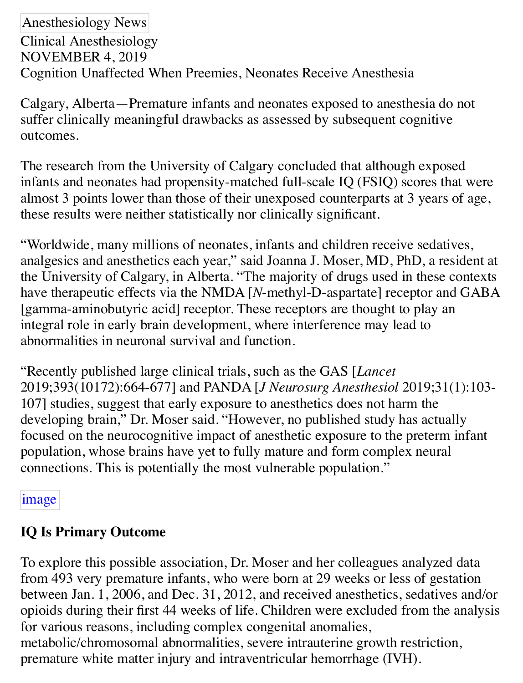Anesthesiology News Clinical Anesthesiology NOVEMBER 4, 2019 Cognition Unaffected When Preemies, Neonates Receive Anesthesia

Calgary, Alberta—Premature infants and neonates exposed to anesthesia do not suffer clinically meaningful drawbacks as assessed by subsequent cognitive outcomes.

The research from the University of Calgary concluded that although exposed infants and neonates had propensity-matched full-scale IQ (FSIQ) scores that were almost 3 points lower than those of their unexposed counterparts at 3 years of age, these results were neither statistically nor clinically significant.

"Worldwide, many millions of neonates, infants and children receive sedatives, analgesics and anesthetics each year," said Joanna J. Moser, MD, PhD, a resident at the University of Calgary, in Alberta. "The majority of drugs used in these contexts have therapeutic effects via the NMDA [*N*-methyl-D-aspartate] receptor and GABA [gamma-aminobutyric acid] receptor. These receptors are thought to play an integral role in early brain development, where interference may lead to abnormalities in neuronal survival and function.

"Recently published large clinical trials, such as the GAS [*Lancet* 2019;393(10172):664-677] and PANDA [*J Neurosurg Anesthesiol* 2019;31(1):103- 107] studies, suggest that early exposure to anesthetics does not harm the developing brain," Dr. Moser said. "However, no published study has actually focused on the neurocognitive impact of anesthetic exposure to the preterm infant population, whose brains have yet to fully mature and form complex neural [connect](file:///Users/vbf/Library/Containers/com.apple.mail/Data/Library/Mail%20Downloads/D8D603DF-726A-4E2C-BD5B-0630DB3F0F8C/PREMATURE%20INFANTS%20NEONATES%20ANESTHESIA_files/AN1119_001a_3005_600.jpg)ions. This is potentially the most vulnerable population."

### image

# **IQ Is Primary Outcome**

To explore this possible association, Dr. Moser and her colleagues analyzed data from 493 very premature infants, who were born at 29 weeks or less of gestation between Jan. 1, 2006, and Dec. 31, 2012, and received anesthetics, sedatives and/or opioids during their first 44 weeks of life. Children were excluded from the analysis for various reasons, including complex congenital anomalies, metabolic/chromosomal abnormalities, severe intrauterine growth restriction, premature white matter injury and intraventricular hemorrhage (IVH).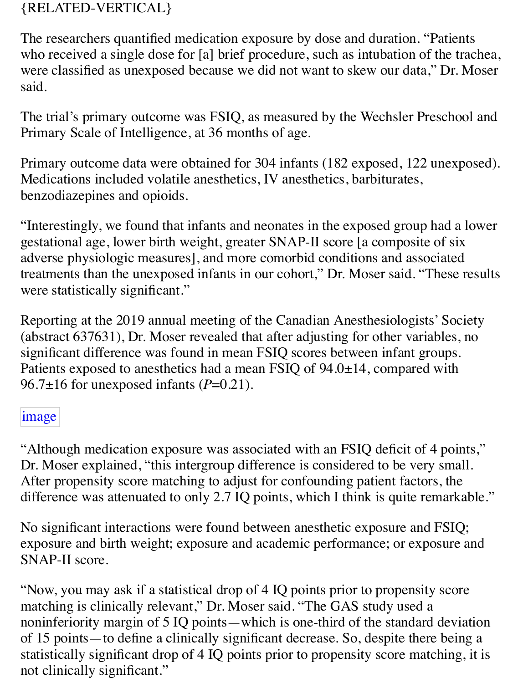## {RELATED-VERTICAL}

The researchers quantified medication exposure by dose and duration. "Patients who received a single dose for [a] brief procedure, such as intubation of the trachea, were classified as unexposed because we did not want to skew our data," Dr. Moser said.

The trial's primary outcome was FSIQ, as measured by the Wechsler Preschool and Primary Scale of Intelligence, at 36 months of age.

Primary outcome data were obtained for 304 infants (182 exposed, 122 unexposed). Medications included volatile anesthetics, IV anesthetics, barbiturates, benzodiazepines and opioids.

"Interestingly, we found that infants and neonates in the exposed group had a lower gestational age, lower birth weight, greater SNAP-II score [a composite of six adverse physiologic measures], and more comorbid conditions and associated treatments than the unexposed infants in our cohort," Dr. Moser said. "These results were statistically significant."

Reporting at the 2019 annual meeting of the Canadian Anesthesiologists' Society (abstract 637631), Dr. Moser revealed that after adjusting for other variables, no significant difference was found in mean FSIQ scores between infant groups. Patients exposed to anesthetics had a mean FSIQ of 94.0±14, compared with 96.7 $\pm$ 16 for unexposed infants ( $P=0.21$ ).

### image

"Although medication exposure was associated with an FSIQ deficit of 4 points," Dr. Moser explained, "this intergroup difference is considered to be very small. After propensity score matching to adjust for confounding patient factors, the difference was attenuated to only 2.7 IQ points, which I think is quite remarkable."

No significant interactions were found between anesthetic exposure and FSIQ; exposure and birth weight; exposure and academic performance; or exposure and SNAP-II score.

"Now, you may ask if a statistical drop of 4 IQ points prior to propensity score matching is clinically relevant," Dr. Moser said. "The GAS study used a noninferiority margin of 5 IQ points—which is one-third of the standard deviation of 15 points—to define a clinically significant decrease. So, despite there being a statistically significant drop of 4 IQ points prior to propensity score matching, it is not clinically significant."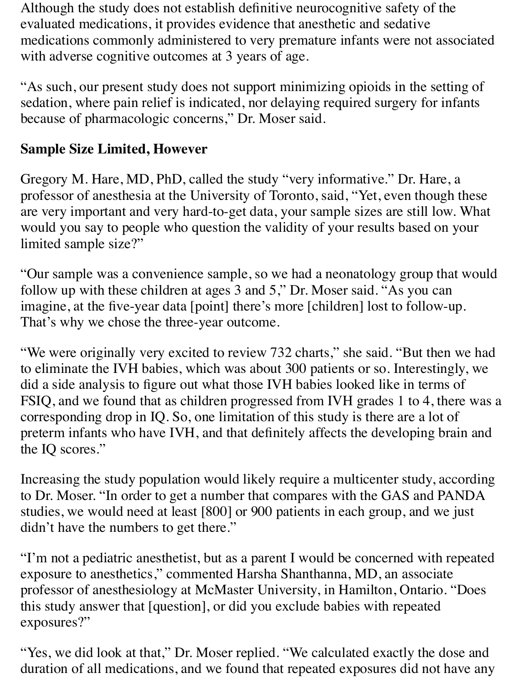Although the study does not establish definitive neurocognitive safety of the evaluated medications, it provides evidence that anesthetic and sedative medications commonly administered to very premature infants were not associated with adverse cognitive outcomes at 3 years of age.

"As such, our present study does not support minimizing opioids in the setting of sedation, where pain relief is indicated, nor delaying required surgery for infants because of pharmacologic concerns," Dr. Moser said.

## **Sample Size Limited, However**

Gregory M. Hare, MD, PhD, called the study "very informative." Dr. Hare, a professor of anesthesia at the University of Toronto, said, "Yet, even though these are very important and very hard-to-get data, your sample sizes are still low. What would you say to people who question the validity of your results based on your limited sample size?"

"Our sample was a convenience sample, so we had a neonatology group that would follow up with these children at ages 3 and 5," Dr. Moser said. "As you can imagine, at the five-year data [point] there's more [children] lost to follow-up. That's why we chose the three-year outcome.

"We were originally very excited to review 732 charts," she said. "But then we had to eliminate the IVH babies, which was about 300 patients or so. Interestingly, we did a side analysis to figure out what those IVH babies looked like in terms of FSIQ, and we found that as children progressed from IVH grades 1 to 4, there was a corresponding drop in IQ. So, one limitation of this study is there are a lot of preterm infants who have IVH, and that definitely affects the developing brain and the IQ scores."

Increasing the study population would likely require a multicenter study, according to Dr. Moser. "In order to get a number that compares with the GAS and PANDA studies, we would need at least [800] or 900 patients in each group, and we just didn't have the numbers to get there."

"I'm not a pediatric anesthetist, but as a parent I would be concerned with repeated exposure to anesthetics," commented Harsha Shanthanna, MD, an associate professor of anesthesiology at McMaster University, in Hamilton, Ontario. "Does this study answer that [question], or did you exclude babies with repeated exposures?"

"Yes, we did look at that," Dr. Moser replied. "We calculated exactly the dose and duration of all medications, and we found that repeated exposures did not have any